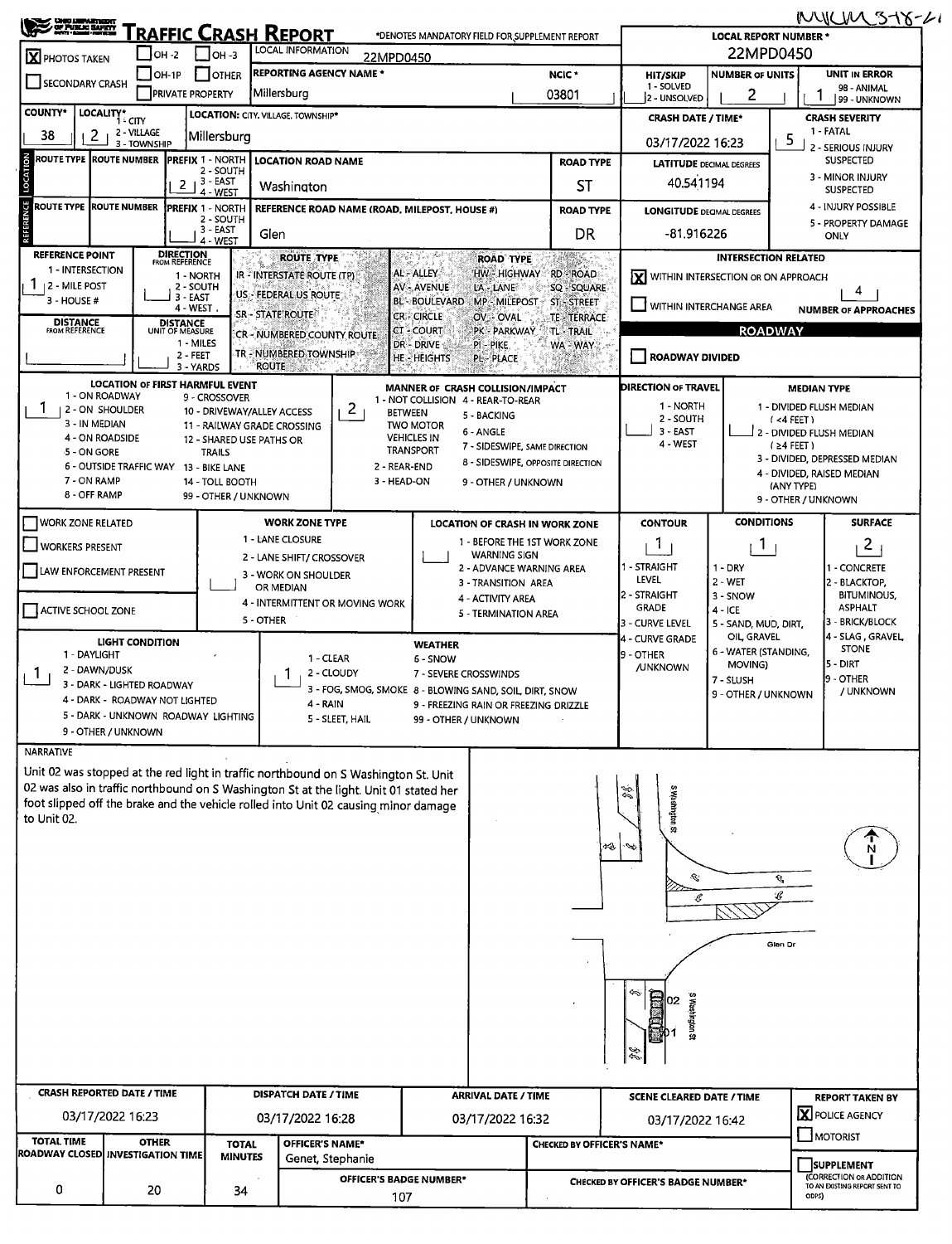| MUCHLIST8-2<br><b>SOP DEPARTMENT</b><br><u> Fraffic Crash Report</u><br>*DENOTES MANDATORY FIELD FOR SUPPLEMENT REPORT<br><b>LOCAL REPORT NUMBER *</b> |                                                                                  |                                    |                                                         |                |                                                |                                                         |                                                                        |                                                                                              |                                                                |                                                         |                                                                                                       |                                    |                                                             |  |  |
|--------------------------------------------------------------------------------------------------------------------------------------------------------|----------------------------------------------------------------------------------|------------------------------------|---------------------------------------------------------|----------------|------------------------------------------------|---------------------------------------------------------|------------------------------------------------------------------------|----------------------------------------------------------------------------------------------|----------------------------------------------------------------|---------------------------------------------------------|-------------------------------------------------------------------------------------------------------|------------------------------------|-------------------------------------------------------------|--|--|
| LOCAL INFORMATION<br>$\Box$ OH -3<br><b>∫ОН -2</b><br>X PHOTOS TAKEN<br>22MPD0450                                                                      |                                                                                  |                                    |                                                         |                |                                                |                                                         |                                                                        |                                                                                              |                                                                |                                                         | 22MPD0450                                                                                             |                                    |                                                             |  |  |
| SECONDARY CRASH                                                                                                                                        | <b>REPORTING AGENCY NAME *</b><br>$\Box$ OTHER<br>$\overline{\phantom{a}}$ OH-1P |                                    |                                                         |                |                                                |                                                         |                                                                        |                                                                                              | NCIC <sup>*</sup>                                              | <b>NUMBER OF UNITS</b><br><b>HIT/SKIP</b><br>1 - SOLVED |                                                                                                       |                                    | <b>UNIT IN ERROR</b>                                        |  |  |
|                                                                                                                                                        | Millersburg<br><b>PRIVATE PROPERTY</b>                                           |                                    |                                                         |                |                                                |                                                         |                                                                        |                                                                                              | 03801                                                          | 2 - UNSOLVED                                            | 2                                                                                                     |                                    | 98 - ANIMAL<br>99 - UNKNOWN                                 |  |  |
| <b>COUNTY*</b>                                                                                                                                         | LOCALITY* CITY<br>LOCATION: CITY. VILLAGE. TOWNSHIP*<br>2 - VILLAGE              |                                    |                                                         |                |                                                |                                                         |                                                                        |                                                                                              |                                                                | <b>CRASH DATE / TIME*</b>                               |                                                                                                       | <b>CRASH SEVERITY</b><br>1 - FATAL |                                                             |  |  |
| 38<br>2                                                                                                                                                | 3 - TOWNSHIP                                                                     |                                    | Millersburg                                             |                |                                                |                                                         |                                                                        |                                                                                              | 03/17/2022 16:23                                               |                                                         |                                                                                                       |                                    | 5<br>2 - SERIOUS INJURY                                     |  |  |
| LOCATION<br><b>ROUTE TYPE ROUTE NUMBER</b>                                                                                                             |                                                                                  |                                    | <b>PREFIX 1 - NORTH</b><br>2 - SOUTH                    |                | <b>LOCATION ROAD NAME</b>                      |                                                         |                                                                        |                                                                                              | <b>ROAD TYPE</b>                                               |                                                         | <b>SUSPECTED</b><br>3 - MINOR INJURY                                                                  |                                    |                                                             |  |  |
|                                                                                                                                                        |                                                                                  |                                    | $2 + 3 - EAST$<br>4 - WEST                              |                | Washington                                     |                                                         |                                                                        |                                                                                              | ST                                                             |                                                         | 40.541194<br><b>SUSPECTED</b>                                                                         |                                    |                                                             |  |  |
| REFERENCE<br><b>ROUTE TYPE ROUTE NUMBER</b>                                                                                                            |                                                                                  |                                    | PREFIX 1 - NORTH<br>2 - SOUTH                           |                |                                                | REFERENCE ROAD NAME (ROAD, MILEPOST, HOUSE #)           |                                                                        |                                                                                              | <b>ROAD TYPE</b>                                               |                                                         | 4 - INJURY POSSIBLE<br><b>LONGITUDE DECIMAL DEGREES</b>                                               |                                    |                                                             |  |  |
|                                                                                                                                                        | 3 - EAST<br>Glen<br>4 - WEST                                                     |                                    |                                                         |                |                                                |                                                         |                                                                        |                                                                                              | <b>DR</b>                                                      | -81.916226                                              |                                                                                                       |                                    | 5 - PROPERTY DAMAGE<br><b>ONLY</b>                          |  |  |
| <b>REFERENCE POINT</b><br>1 - INTERSECTION                                                                                                             |                                                                                  | <b>DIRECTION</b><br>FROM REFERENCE |                                                         |                | <b>ROUTE TYPE</b>                              |                                                         |                                                                        | <b>ROAD TYPE</b>                                                                             |                                                                |                                                         | <b>INTERSECTION RELATED</b>                                                                           |                                    |                                                             |  |  |
| L.<br>  2 - MILE POST                                                                                                                                  |                                                                                  |                                    | 1 - NORTH<br>2 - SOUTH                                  |                | IR - INTERSTATE ROUTE (TP)                     |                                                         | AL - ALLEY<br><b>AV - AVENUE</b>                                       | LA - LANE                                                                                    | HW HIGHWAY RD - ROAD<br>SQ - SQUARE                            | <b>X</b> WITHIN INTERSECTION OR ON APPROACH             |                                                                                                       |                                    | 4                                                           |  |  |
| 3 - HOUSE #                                                                                                                                            |                                                                                  |                                    | $3 - EAST$<br>4 - WEST                                  |                | US - FEDERAL US ROUTE<br><b>SR-STATE ROUTE</b> |                                                         | <b>BL-BOULEVARD</b><br>CR - CIRCLE                                     |                                                                                              | MP MILEPOST ST STREET                                          | WITHIN INTERCHANGE AREA                                 |                                                                                                       |                                    | <b>NUMBER OF APPROACHES</b>                                 |  |  |
| <b>DISTANCE</b><br>FROM REFERENCE                                                                                                                      |                                                                                  | <b>DISTANCE</b><br>UNIT OF MEASURE |                                                         |                | CR - NUMBERED COUNTY ROUTE                     |                                                         | CT - COURT                                                             | OV - OVAL<br>PK - PARKWAY                                                                    | <b>TE-TERRACE</b><br><b>TL-TRAIL</b>                           |                                                         | <b>ROADWAY</b>                                                                                        |                                    |                                                             |  |  |
|                                                                                                                                                        |                                                                                  |                                    | 1 - MILES<br>2 - FEET                                   |                | TR - NUMBERED TOWNSHIP                         |                                                         | DR - DRIVE<br><b>HE-HEIGHTS</b>                                        | PI - PIKE<br><b>PL-PLACE</b>                                                                 | WA - WAY                                                       | ROADWAY DIVIDED                                         |                                                                                                       |                                    |                                                             |  |  |
|                                                                                                                                                        |                                                                                  |                                    | 3 - YARDS                                               | <b>ROUTE</b>   | S offici                                       |                                                         |                                                                        |                                                                                              |                                                                |                                                         |                                                                                                       |                                    |                                                             |  |  |
|                                                                                                                                                        | 1 - ON ROADWAY                                                                   |                                    | <b>LOCATION OF FIRST HARMFUL EVENT</b><br>9 - CROSSOVER |                |                                                |                                                         | MANNER OF CRASH COLLISION/IMPACT<br>1 - NOT COLLISION 4 - REAR-TO-REAR |                                                                                              |                                                                | DIRECTION OF TRAVEL<br>1 - NORTH                        |                                                                                                       |                                    | <b>MEDIAN TYPE</b>                                          |  |  |
| 1.<br>  2 - ON SHOULDER<br>3 - IN MEDIAN                                                                                                               |                                                                                  |                                    | 10 - DRIVEWAY/ALLEY ACCESS                              |                | 11 - RAILWAY GRADE CROSSING                    | 2                                                       | <b>BETWEEN</b><br><b>TWO MOTOR</b>                                     | 5 - BACKING                                                                                  |                                                                | 2 - SOUTH                                               |                                                                                                       | $(4$ FEET)                         | 1 - DIVIDED FLUSH MEDIAN                                    |  |  |
| 4 - ON ROADSIDE<br>$-5 - ON GORE$                                                                                                                      |                                                                                  |                                    | 12 - SHARED USE PATHS OR<br><b>TRAILS</b>               |                |                                                |                                                         | <b>VEHICLES IN</b><br>TRANSPORT                                        | 6 - ANGLE<br>7 - SIDESWIPE, SAME DIRECTION                                                   |                                                                | $3 - EAST$<br>4 - WEST                                  |                                                                                                       | $(24$ FEET)                        | 2 - DIVIDED FLUSH MEDIAN                                    |  |  |
|                                                                                                                                                        |                                                                                  |                                    | 6 - OUTSIDE TRAFFIC WAY 13 - BIKE LANE                  |                |                                                |                                                         | 2 - REAR-END                                                           |                                                                                              | 8 - SIDESWIPE, OPPOSITE DIRECTION                              |                                                         |                                                                                                       |                                    | 3 - DIVIDED, DEPRESSED MEDIAN<br>4 - DIVIDED, RAISED MEDIAN |  |  |
| 7 - ON RAMP<br>8 - OFF RAMP                                                                                                                            |                                                                                  |                                    | 14 - TOLL BOOTH<br>99 - OTHER / UNKNOWN                 |                |                                                | 3 - HEAD-ON                                             |                                                                        | 9 - OTHER / UNKNOWN                                                                          |                                                                |                                                         |                                                                                                       | (ANY TYPE)                         | 9 - OTHER / UNKNOWN                                         |  |  |
|                                                                                                                                                        |                                                                                  |                                    |                                                         |                | <b>WORK ZONE TYPE</b>                          |                                                         |                                                                        |                                                                                              |                                                                | <b>CONTOUR</b>                                          | <b>CONDITIONS</b>                                                                                     |                                    | <b>SURFACE</b>                                              |  |  |
| <b>WORK ZONE RELATED</b>                                                                                                                               |                                                                                  |                                    |                                                         |                | 1 - LANE CLOSURE                               |                                                         |                                                                        |                                                                                              | LOCATION OF CRASH IN WORK ZONE<br>1 - BEFORE THE 1ST WORK ZONE | 1                                                       | 1                                                                                                     |                                    | $\mathbf{2}$                                                |  |  |
| <b>WORKERS PRESENT</b>                                                                                                                                 |                                                                                  |                                    |                                                         |                | 2 - LANE SHIFT/ CROSSOVER                      |                                                         |                                                                        | <b>WARNING SIGN</b><br>1 - STRAIGHT<br>$1 - DRY$<br>1 - CONCRETE<br>2 - ADVANCE WARNING AREA |                                                                |                                                         |                                                                                                       |                                    |                                                             |  |  |
| LAW ENFORCEMENT PRESENT                                                                                                                                |                                                                                  |                                    |                                                         |                | OR MEDIAN                                      | 3 - WORK ON SHOULDER<br>3 - TRANSITION AREA             |                                                                        |                                                                                              |                                                                |                                                         | <b>LEVEL</b><br>2 - WET<br>2 - BLACKTOP,                                                              |                                    |                                                             |  |  |
| ACTIVE SCHOOL ZONE                                                                                                                                     |                                                                                  |                                    |                                                         |                |                                                | 4 - INTERMITTENT OR MOVING WORK                         |                                                                        | 4 - ACTIVITY AREA<br>5 - TERMINATION AREA                                                    |                                                                | 2 - STRAIGHT<br><b>GRADE</b>                            | 3 - SNOW<br>$4 - ICE$                                                                                 |                                    | <b>BITUMINOUS,</b><br><b>ASPHALT</b>                        |  |  |
|                                                                                                                                                        |                                                                                  |                                    |                                                         | 5 - OTHER      |                                                |                                                         |                                                                        |                                                                                              |                                                                | 3 - CURVE LEVEL                                         | 5 - SAND, MUD, DIRT,<br>OIL GRAVEL                                                                    |                                    | 3 - BRICK/BLOCK<br>4 - SLAG, GRAVEL                         |  |  |
| 1 - DAYLIGHT                                                                                                                                           | <b>LIGHT CONDITION</b>                                                           |                                    |                                                         |                | 1 - CLEAR                                      |                                                         | <b>WEATHER</b><br>6 - SNOW                                             |                                                                                              |                                                                | 4 - CURVE GRADE<br>9 - OTHER                            | 6 - WATER (STANDING,                                                                                  |                                    | <b>STONE</b>                                                |  |  |
| 2 - DAWN/DUSK                                                                                                                                          |                                                                                  |                                    |                                                         |                |                                                | 2 - CLOUDY                                              | 7 - SEVERE CROSSWINDS                                                  |                                                                                              |                                                                | <b>/UNKNOWN</b>                                         | MOVING)<br>7 - SLUSH                                                                                  |                                    | 5 - DIRT<br>9 - OTHER                                       |  |  |
|                                                                                                                                                        | 3 - DARK - LIGHTED ROADWAY<br>4 - DARK - ROADWAY NOT LIGHTED                     |                                    |                                                         |                | 4 - RAIN                                       | 3 - FOG, SMOG, SMOKE 8 - BLOWING SAND, SOIL, DIRT, SNOW |                                                                        | 9 - FREEZING RAIN OR FREEZING DRIZZLE                                                        |                                                                |                                                         | 9 - OTHER / UNKNOWN                                                                                   |                                    | / UNKNOWN                                                   |  |  |
|                                                                                                                                                        |                                                                                  |                                    | 5 - DARK - UNKNOWN ROADWAY LIGHTING                     |                |                                                | 5 - SLEET, HAIL                                         | 99 - OTHER / UNKNOWN                                                   |                                                                                              |                                                                |                                                         |                                                                                                       |                                    |                                                             |  |  |
| <b>NARRATIVE</b>                                                                                                                                       | 9 - OTHER / UNKNOWN                                                              |                                    |                                                         |                |                                                |                                                         |                                                                        |                                                                                              |                                                                |                                                         |                                                                                                       |                                    |                                                             |  |  |
| Unit 02 was stopped at the red light in traffic northbound on S Washington St. Unit                                                                    |                                                                                  |                                    |                                                         |                |                                                |                                                         |                                                                        |                                                                                              |                                                                |                                                         |                                                                                                       |                                    |                                                             |  |  |
| 02 was also in traffic northbound on S Washington St at the light. Unit 01 stated her                                                                  |                                                                                  |                                    |                                                         |                |                                                |                                                         |                                                                        |                                                                                              |                                                                |                                                         |                                                                                                       |                                    |                                                             |  |  |
| foot slipped off the brake and the vehicle rolled into Unit 02 causing minor damage<br>to Unit 02.                                                     |                                                                                  |                                    |                                                         |                |                                                |                                                         |                                                                        |                                                                                              |                                                                | S Washington St                                         |                                                                                                       |                                    |                                                             |  |  |
|                                                                                                                                                        |                                                                                  |                                    |                                                         |                |                                                |                                                         |                                                                        |                                                                                              |                                                                |                                                         |                                                                                                       |                                    |                                                             |  |  |
|                                                                                                                                                        |                                                                                  |                                    |                                                         |                |                                                |                                                         |                                                                        |                                                                                              | 紀                                                              |                                                         |                                                                                                       |                                    | N                                                           |  |  |
|                                                                                                                                                        |                                                                                  |                                    |                                                         |                |                                                |                                                         |                                                                        |                                                                                              |                                                                | D.                                                      |                                                                                                       | Û,                                 |                                                             |  |  |
|                                                                                                                                                        |                                                                                  |                                    |                                                         |                |                                                |                                                         |                                                                        |                                                                                              |                                                                | €                                                       |                                                                                                       | °                                  |                                                             |  |  |
|                                                                                                                                                        |                                                                                  |                                    |                                                         |                |                                                |                                                         |                                                                        |                                                                                              |                                                                |                                                         |                                                                                                       |                                    |                                                             |  |  |
|                                                                                                                                                        |                                                                                  |                                    |                                                         |                |                                                |                                                         |                                                                        |                                                                                              |                                                                |                                                         |                                                                                                       | Glen Dr                            |                                                             |  |  |
|                                                                                                                                                        |                                                                                  |                                    |                                                         |                |                                                |                                                         |                                                                        |                                                                                              |                                                                |                                                         |                                                                                                       |                                    |                                                             |  |  |
|                                                                                                                                                        |                                                                                  |                                    |                                                         |                |                                                |                                                         |                                                                        |                                                                                              |                                                                |                                                         |                                                                                                       |                                    |                                                             |  |  |
|                                                                                                                                                        |                                                                                  |                                    |                                                         |                |                                                |                                                         |                                                                        |                                                                                              |                                                                |                                                         |                                                                                                       |                                    |                                                             |  |  |
|                                                                                                                                                        |                                                                                  |                                    |                                                         |                |                                                |                                                         |                                                                        |                                                                                              |                                                                |                                                         |                                                                                                       |                                    |                                                             |  |  |
|                                                                                                                                                        |                                                                                  |                                    |                                                         |                |                                                |                                                         |                                                                        |                                                                                              |                                                                |                                                         |                                                                                                       |                                    |                                                             |  |  |
| <b>CRASH REPORTED DATE / TIME</b>                                                                                                                      |                                                                                  |                                    |                                                         |                | <b>DISPATCH DATE / TIME</b>                    |                                                         |                                                                        | <b>ARRIVAL DATE / TIME</b>                                                                   |                                                                | <b>SCENE CLEARED DATE / TIME</b>                        |                                                                                                       |                                    | <b>REPORT TAKEN BY</b>                                      |  |  |
|                                                                                                                                                        | 03/17/2022 16:23                                                                 |                                    |                                                         |                | 03/17/2022 16:28                               |                                                         |                                                                        | 03/17/2022 16:32                                                                             |                                                                | 03/17/2022 16:42                                        |                                                                                                       |                                    | <b>X</b> POLICE AGENCY                                      |  |  |
| <b>TOTAL TIME</b>                                                                                                                                      |                                                                                  | <b>OTHER</b>                       |                                                         | <b>TOTAL</b>   | <b>OFFICER'S NAME*</b>                         |                                                         |                                                                        |                                                                                              | <b>CHECKED BY OFFICER'S NAME*</b>                              |                                                         |                                                                                                       |                                    | $\Box$ MOTORIST                                             |  |  |
| <b>ROADWAY CLOSED INVESTIGATION TIME</b>                                                                                                               |                                                                                  |                                    |                                                         | <b>MINUTES</b> | Genet, Stephanie                               |                                                         |                                                                        |                                                                                              |                                                                |                                                         |                                                                                                       |                                    | SUPPLEMENT                                                  |  |  |
| 0                                                                                                                                                      |                                                                                  | 20                                 |                                                         | 34             |                                                | OFFICER'S BADGE NUMBER*                                 |                                                                        |                                                                                              |                                                                |                                                         | (CORRECTION OR ADDITION<br><b>CHECKED BY OFFICER'S BADGE NUMBER*</b><br>TO AN EXISTING REPORT SENT TO |                                    |                                                             |  |  |
|                                                                                                                                                        |                                                                                  |                                    |                                                         |                |                                                | 107                                                     |                                                                        |                                                                                              |                                                                |                                                         |                                                                                                       | ODPS)                              |                                                             |  |  |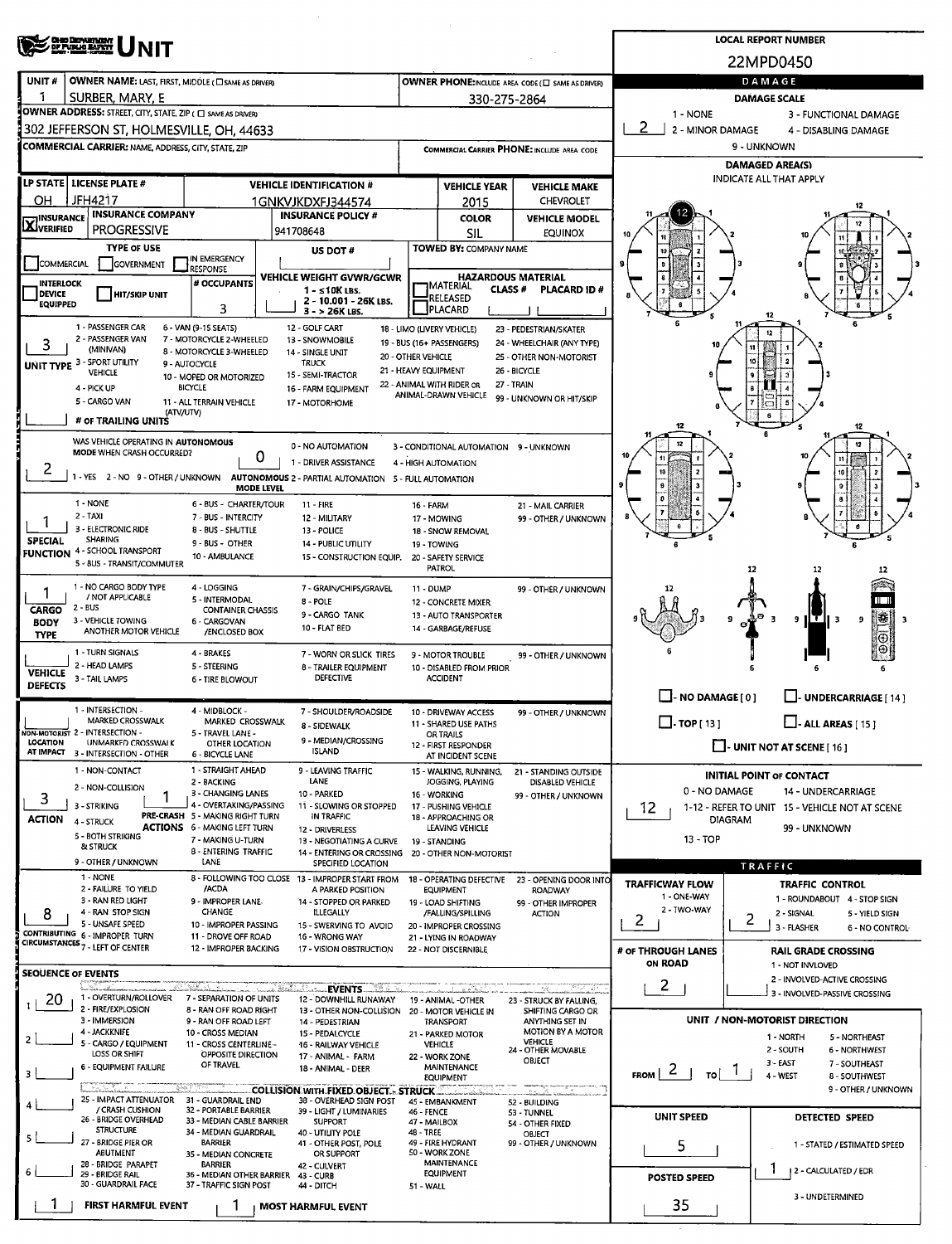|                                   | <b>CHO DEMARTADAY</b><br>OF PUBLIC BARRY                                       |                                                           | <b>LOCAL REPORT NUMBER</b>                                             |                                            |                                                         |                                                           |                                            |                                                          |  |  |  |  |
|-----------------------------------|--------------------------------------------------------------------------------|-----------------------------------------------------------|------------------------------------------------------------------------|--------------------------------------------|---------------------------------------------------------|-----------------------------------------------------------|--------------------------------------------|----------------------------------------------------------|--|--|--|--|
|                                   |                                                                                |                                                           |                                                                        |                                            |                                                         |                                                           |                                            | 22MPD0450                                                |  |  |  |  |
| UNIT#                             | OWNER NAME: LAST, FIRST, MIDDLE ( C SAME AS DRIVER)                            |                                                           |                                                                        |                                            |                                                         | OWNER PHONE:INCLUDE AREA CODE ( $\square$ SAME AS DRIVER) |                                            | DAMAGE                                                   |  |  |  |  |
| -1                                | SURBER, MARY, E<br>OWNER ADDRESS: STREET, CITY, STATE, ZIP ( C SAME AS DRIVER) |                                                           |                                                                        |                                            | 330-275-2864                                            |                                                           |                                            | <b>DAMAGE SCALE</b>                                      |  |  |  |  |
|                                   | 302 JEFFERSON ST, HOLMESVILLE, OH, 44633                                       |                                                           |                                                                        |                                            |                                                         |                                                           | 1 - NONE<br>2<br>2 - MINOR DAMAGE          | 3 - FUNCTIONAL DAMAGE<br>4 - DISABLING DAMAGE            |  |  |  |  |
|                                   | <b>COMMERCIAL CARRIER: NAME, ADDRESS, CITY, STATE, ZIP</b>                     |                                                           |                                                                        |                                            |                                                         | COMMERCIAL CARRIER PHONE: INCLUDE AREA CODE               | 9 - UNKNOWN                                |                                                          |  |  |  |  |
|                                   |                                                                                |                                                           |                                                                        |                                            |                                                         |                                                           |                                            | <b>DAMAGED AREA(S)</b>                                   |  |  |  |  |
|                                   | LP STATE   LICENSE PLATE #                                                     |                                                           | <b>VEHICLE IDENTIFICATION #</b>                                        | <b>VEHICLE YEAR</b><br><b>VEHICLE MAKE</b> |                                                         |                                                           |                                            | INDICATE ALL THAT APPLY                                  |  |  |  |  |
| ΟH                                | <b>JFH4217</b>                                                                 |                                                           | 1GNKVJKDXFJ344574                                                      |                                            | 2015                                                    | <b>CHEVROLET</b>                                          |                                            |                                                          |  |  |  |  |
| <b>INSURANCE</b><br>XVERIFIED     | <b>INSURANCE COMPANY</b><br><b>PROGRESSIVE</b>                                 |                                                           | <b>INSURANCE POLICY #</b><br>941708648                                 |                                            | <b>COLOR</b><br>SIL                                     | <b>VEHICLE MODEL</b><br><b>EQUINOX</b>                    |                                            |                                                          |  |  |  |  |
|                                   | <b>TYPE OF USE</b>                                                             |                                                           | US DOT#                                                                |                                            | TOWED BY: COMPANY NAME                                  |                                                           |                                            |                                                          |  |  |  |  |
| COMMERCIAL                        | <b>GOVERNMENT</b>                                                              | IN EMERGENCY<br>RESPONSE                                  |                                                                        |                                            |                                                         |                                                           |                                            |                                                          |  |  |  |  |
| <b>INTERLOCK</b><br><b>DEVICE</b> | <b>HIT/SKIP UNIT</b>                                                           | # OCCUPANTS                                               | VEHICLE WEIGHT GVWR/GCWR<br>$1 - 510K$ LBS.                            |                                            | <b>HAZARDOUS MATERIAL</b><br><b>TMATERIAL</b><br>CLASS# | <b>PLACARD ID#</b>                                        |                                            |                                                          |  |  |  |  |
| <b>EQUIPPED</b>                   |                                                                                | 3                                                         | 2 - 10.001 - 26K LBS.<br>3 - > 26K LBS.                                |                                            | RELEASED<br>PLACARD                                     |                                                           |                                            |                                                          |  |  |  |  |
|                                   | 1 - PASSENGER CAR                                                              | 6 - VAN (9-15 SEATS)                                      | 12 - GOLF CART                                                         |                                            | 18 - LIMO (LIVERY VEHICLE)                              | 23 - PEDESTRIAN/SKATER                                    |                                            |                                                          |  |  |  |  |
| з                                 | 2 - PASSENGER VAN<br>(MINIVAN)                                                 | 7 - MOTORCYCLE 2-WHEELED<br>8 - MOTORCYCLE 3-WHEELED      | 13 - SNOWMOBILE<br>14 - SINGLE UNIT                                    |                                            | 19 - BUS (16+ PASSENGERS)                               | 24 - WHEELCHAIR (ANY TYPE)                                |                                            |                                                          |  |  |  |  |
|                                   | <b>UNIT TYPE 3 - SPORT UTILITY</b><br><b>VEHICLE</b>                           | 9 - AUTOCYCLE                                             | <b>TRUCK</b><br>15 - SEMI-TRACTOR                                      | 20 - OTHER VEHICLE<br>21 - HEAVY EQUIPMENT |                                                         | 25 - OTHER NON-MOTORIST<br>26 - BICYCLE                   |                                            | 10                                                       |  |  |  |  |
|                                   | 4 - PICK UP                                                                    | 10 - MOPED OR MOTORIZED<br><b>BICYCLE</b>                 | 16 - FARM EQUIPMENT                                                    |                                            | 22 - ANIMAL WITH RIDER OR<br>ANIMAL-DRAWN VEHICLE       | 27 - TRAIN                                                |                                            |                                                          |  |  |  |  |
|                                   | 5 - CARGO VAN<br>(ATV/UTV)                                                     | 11 - ALL TERRAIN VEHICLE                                  | 17 - MOTORHOME                                                         |                                            |                                                         | 99 - UNKNOWN OR HIT/SKIP                                  |                                            |                                                          |  |  |  |  |
|                                   | # OF TRAILING UNITS                                                            |                                                           |                                                                        |                                            |                                                         |                                                           | 12                                         |                                                          |  |  |  |  |
|                                   | WAS VEHICLE OPERATING IN AUTONOMOUS<br>MODE WHEN CRASH OCCURRED?               |                                                           | 0 - NO AUTOMATION                                                      |                                            | 3 - CONDITIONAL AUTOMATION 9 - UNKNOWN                  |                                                           |                                            |                                                          |  |  |  |  |
| 2                                 |                                                                                |                                                           | 0<br>1 - DRIVER ASSISTANCÉ                                             |                                            | 4 - HIGH AUTOMATION                                     |                                                           |                                            | 10 <sup>1</sup>                                          |  |  |  |  |
|                                   | 1 - YES 2 - NO 9 - OTHER / UNKNOWN                                             | <b>MODE LEVEL</b>                                         | AUTONOMOUS 2 - PARTIAL AUTOMATION 5 - FULL AUTOMATION                  |                                            |                                                         |                                                           |                                            | 9                                                        |  |  |  |  |
|                                   | 1 - NONE                                                                       | 6 - BUS - CHARTER/TOUR                                    | 11 - FIRE                                                              | <b>16 - FARM</b>                           |                                                         | 21 - MAIL CARRIER                                         |                                            |                                                          |  |  |  |  |
| 1                                 | 2 - TAXI<br>3 - ELECTRONIC RIDE                                                | 7 - BUS - INTERCITY<br>8 - BUS - SHUTTLE                  | 12 - MILITARY<br>13 - POLICE                                           |                                            | 17 - MOWING<br>18 - SNOW REMOVAL                        | 99 - OTHER / UNKNOWN                                      |                                            |                                                          |  |  |  |  |
| <b>SPECIAL</b><br><b>FUNCTION</b> | <b>SHARING</b><br>4 - SCHOOL TRANSPORT                                         | 9 - BUS - OTHER                                           | <b>14 - PUBLIC UTILITY</b>                                             | 19 - TOWING                                |                                                         |                                                           |                                            |                                                          |  |  |  |  |
|                                   | 5 - BUS - TRANSIT/COMMUTER                                                     | 10 - AMBULANCE                                            | 15 - CONSTRUCTION EQUIP.                                               |                                            | 20 - SAFETY SERVICE<br><b>PATROL</b>                    |                                                           |                                            | 12<br>12<br>12                                           |  |  |  |  |
| 1                                 | 1 - NO CARGO BODY TYPE                                                         | 4 - LOGGING                                               | 7 - GRAIN/CHIPS/GRAVEL                                                 | 11 - DUMP                                  |                                                         | 99 - OTHER / UNKNOWN                                      |                                            |                                                          |  |  |  |  |
| <b>CARGO</b>                      | / NOT APPLICABLE<br>2 - BUS                                                    | 5 - INTERMODAL<br><b>CONTAINER CHASSIS</b>                | 8 - POLE<br>9 - CARGO TANK                                             |                                            | <b>12 - CONCRETE MIXER</b><br>13 - AUTO TRANSPORTER     |                                                           |                                            |                                                          |  |  |  |  |
| <b>BODY</b><br><b>TYPE</b>        | 3 - VEHICLE TOWING<br>ANOTHER MOTOR VEHICLE                                    | 6 - CARGOVAN<br>/ENCLOSED BOX                             | 10 - FLAT BED                                                          |                                            | 14 - GARBAGE/REFUSE                                     |                                                           |                                            | ₩<br>т<br>в<br>9<br>3<br>9<br>3                          |  |  |  |  |
|                                   | 1 - TURN SIGNALS                                                               | 4 - BRAKES                                                | 7 - WORN OR SLICK TIRES                                                |                                            | 9 - MOTOR TROUBLE                                       | 99 - OTHER / UNKNOWN                                      |                                            |                                                          |  |  |  |  |
| <b>VEHICLE</b>                    | 2 - HEAD LAMPS                                                                 | 5 - STEERING                                              | 8 - TRAILER EQUIPMENT                                                  |                                            | 10 - DISABLED FROM PRIOR                                |                                                           |                                            |                                                          |  |  |  |  |
| <b>DEFECTS</b>                    | 3 - TAIL LAMPS                                                                 | <b>6 - TIRE BLOWOUT</b>                                   | DEFECTIVE                                                              |                                            | <b>ACCIDENT</b>                                         |                                                           | $\Box$ - NO DAMAGE [0]                     |                                                          |  |  |  |  |
|                                   | 1 - INTERSECTION -                                                             | 4 - MIDBLOCK -                                            | 7 - SHOULDER/ROADSIDE                                                  |                                            | 10 - DRIVEWAY ACCESS                                    | 99 - OTHER / UNKNOWN                                      |                                            | <b>UNDERCARRIAGE [ 14 ]</b>                              |  |  |  |  |
|                                   | <b>MARKED CROSSWALK</b><br>NON-MOTORIST 2 - INTERSECTION -                     | MARKED CROSSWALK<br>5 - TRAVEL LANE -                     | 8 - SIDEWALK                                                           |                                            | 11 - SHARED USE PATHS<br><b>OR TRAILS</b>               |                                                           | $\Box$ . TOP [ 13 ]                        | $\Box$ - ALL AREAS [ 15 ]                                |  |  |  |  |
| <b>LOCATION</b>                   | UNMARKED CROSSWALK<br>AT IMPACT 3 - INTERSECTION - OTHER                       | OTHER LOCATION<br><b>6 - BICYCLE LANE</b>                 | 9 - MEDIAN/CROSSING<br><b>ISLAND</b>                                   |                                            | 12 - FIRST RESPONDER<br>AT INCIDENT SCENE               |                                                           |                                            | $\Box$ - UNIT NOT AT SCENE [16]                          |  |  |  |  |
|                                   | 1 - NON-CONTACT                                                                | 1 - STRAIGHT AHEAD                                        | 9 - LEAVING TRAFFIC                                                    |                                            | 15 - WALKING, RUNNING,                                  | 21 - STANDING OUTSIDE                                     |                                            | <b>INITIAL POINT OF CONTACT</b>                          |  |  |  |  |
| 3                                 | 2 - NON-COLLISION                                                              | 2 - BACKING<br>3 - CHANGING LANES                         | LANE<br>10 - PARKED                                                    |                                            | JOGGING, PLAYING<br>16 - WORKING                        | DISABLED VEHICLE<br>99 - OTHER / UNKNOWN                  | 0 - NO DAMAGE                              | 14 - UNDERCARRIAGE                                       |  |  |  |  |
|                                   | 3 - STRIKING                                                                   | 4 - OVERTAKING/PASSING<br>PRE-CRASH 5 - MAKING RIGHT TURN | 11 - SLOWING OR STOPPED<br>IN TRAFFIC                                  |                                            | 17 - PUSHING VEHICLE<br>18 - APPROACHING OR             |                                                           | 12                                         | 1-12 - REFER TO UNIT 15 - VEHICLE NOT AT SCENE           |  |  |  |  |
| <b>ACTION</b>                     | 4 - STRUCK<br>5 - BOTH STRIKING                                                | <b>ACTIONS 6 - MAKING LEFT TURN</b><br>7 - MAKING U-TURN  | 12 - DRIVERLESS                                                        |                                            | LEAVING VEHICLE                                         |                                                           | <b>DIAGRAM</b><br>99 - UNKNOWN<br>13 - TOP |                                                          |  |  |  |  |
|                                   | & STRUCK                                                                       | 8 - ENTERING TRAFFIC                                      | 13 - NEGOTIATING A CURVE<br>14 - ENTERING OR CROSSING                  |                                            | 19 - STANDING<br>20 - OTHER NON-MOTORIST                |                                                           |                                            |                                                          |  |  |  |  |
|                                   | 9 - OTHER / UNKNOWN<br>1 NONE                                                  | LANE                                                      | SPECIFIED LOCATION<br>8 - FOLLOWING TOO CLOSE 13 - IMPROPER START FROM |                                            | 18 - OPERATING DEFECTIVE                                | 23 - OPENING DOOR INTO                                    |                                            | <b>TRAFFIC</b>                                           |  |  |  |  |
|                                   | 2 - FAILURE TO YIELD<br>3 - RAN RED LIGHT                                      | /ACDA<br>9 - IMPROPER LANE                                | A PARKED POSITION                                                      |                                            | EQUIPMENT                                               | ROADWAY                                                   | <b>TRAFFICWAY FLOW</b><br>1 - ONE-WAY      | <b>TRAFFIC CONTROL</b><br>1 - ROUNDABOUT 4 - STOP SIGN   |  |  |  |  |
| 8                                 | 4 - RAN STOP SIGN                                                              | <b>CHANGE</b>                                             | 14 - STOPPED OR PARKED<br>ILLEGALLY                                    |                                            | 19 - LOAD SHIFTING<br>/FALLING/SPILLING                 | 99 - OTHER IMPROPER<br>ACTION                             | 2 - TWO-WAY<br>2                           | 2 - SIGNAL<br>5 - YIELD SIGN<br>2                        |  |  |  |  |
|                                   | 5 - UNSAFE SPEED<br><b>CONTRIBUTING 6 - IMPROPER TURN</b>                      | 10 - IMPROPER PASSING<br>11 - DROVE OFF ROAD              | 15 - SWERVING TO AVOID<br>16 - WRONG WAY                               |                                            | 20 - IMPROPER CROSSING<br>21 - LYING IN ROADWAY         |                                                           |                                            | 3 - FLASHER<br>6 - NO CONTROL                            |  |  |  |  |
|                                   | CIRCUMSTANCES <sub>7</sub> - LEFT OF CENTER                                    | 12 - IMPROPER BACKING                                     | 17 - VISION OBSTRUCTION                                                |                                            | 22 - NOT DISCERNIBLE                                    |                                                           | # OF THROUGH LANES                         | <b>RAIL GRADE CROSSING</b>                               |  |  |  |  |
| <b>SEQUENCE OF EVENTS</b>         |                                                                                |                                                           |                                                                        |                                            |                                                         |                                                           | <b>ON ROAD</b>                             | 1 - NOT INVLOVED<br>2 - INVOLVED-ACTIVE CROSSING         |  |  |  |  |
| 20                                | 1 - OVERTURN/ROLLOVER                                                          | an Laurence Leonardic III<br>7 - SEPARATION OF UNITS      | EVENTS <b>And Service</b><br>$3^{9}$<br>12 - DOWNHILL RUNAWAY          |                                            | 19 - ANIMAL -OTHER                                      | 23 - STRUCK BY FALLING,                                   | $\mathbf{2}$                               | 3 - INVOLVED-PASSIVE CROSSING                            |  |  |  |  |
|                                   | 2 - FIRE/EXPLOSION<br>3 - IMMERSION                                            | 8 - RAN OFF ROAD RIGHT<br>9 - RAN OFF ROAD LEFT           | 13 - OTHER NON-COLLISION<br>14 - PEDESTRIAN                            |                                            | 20 - MOTOR VEHICLE IN<br>TRANSPORT                      | SHIFTING CARGO OR<br>ANYTHING SET IN                      |                                            | UNIT / NON-MOTORIST DIRECTION                            |  |  |  |  |
|                                   | 4 - JACKKNIFE                                                                  | 10 - CROSS MEDIAN                                         | 15 - PEDALCYCLE                                                        |                                            | 21 - PARKED MOTOR                                       | MOTION BY A MOTOR<br><b>VEHICLE</b>                       |                                            | 1 - NORTH<br>5 - NORTHEAST                               |  |  |  |  |
|                                   | 5 - CARGO / EQUIPMENT<br>LOSS OR SHIFT                                         | 11 - CROSS CENTERLINE -<br><b>OPPOSITE DIRECTION</b>      | 16 - RAILWAY VEHICLE<br>17 - ANIMAL - FARM                             |                                            | <b>VEHICLE</b><br>22 - WORK ZONE                        | 24 - OTHER MOVABLE<br>OBJECT                              |                                            | 2 - SOUTH<br>6 - NORTHWEST                               |  |  |  |  |
|                                   | 6 - EQUIPMENT FAILURE                                                          | OF TRAVEL                                                 | 18 - ANIMAL - DEER                                                     |                                            | MAINTENANCE<br>EQUIPMENT                                |                                                           | $F_{ROM}$   $2$  <br>$\mathsf{I}^{-1}$     | $3 - EAST$<br>7 - SOUTHEAST<br>4 - WEST<br>8 - SOUTHWEST |  |  |  |  |
|                                   | 25 - IMPACT ATTENUATOR                                                         | 31 - GUARDRAIL END                                        | <b>COLLISION WITH FIXED OBJECT - STRUCK</b><br>38 - OVERHEAD SIGN POST |                                            | 45 - EMBANKMENT                                         | مت عائشہ                                                  |                                            | 9 - OTHER / UNKNOWN                                      |  |  |  |  |
|                                   | / CRASH CUSHION<br>26 - BRIDGE OVERHEAD                                        | 32 - PORTABLE BARRIER<br>33 - MEDIAN CABLE BARRIER        | 39 - LIGHT / LUMINARIES<br><b>SUPPORT</b>                              | <b>46 - FENCE</b>                          |                                                         | 52 - BUILDING<br>53 - TUNNEL                              | <b>UNIT SPEED</b>                          | DETECTED SPEED                                           |  |  |  |  |
|                                   | <b>STRUCTURE</b>                                                               | 34 - MEDIAN GUARDRAIL                                     | 40 - UTILITY POLE                                                      | 47 - MAILBOX<br>48 - TREE                  |                                                         | 54 - OTHER FIXED<br>OBJECT                                |                                            |                                                          |  |  |  |  |
|                                   | 27 - BRIDGE PIER OR<br><b>ABUTMENT</b>                                         | <b>BARRIER</b><br>35 - MEDIAN CONCRETE                    | 41 - OTHER POST, POLE<br>OR SUPPORT                                    |                                            | 49 - FIRE HYDRANT<br>50 - WORK ZONE                     | 99 - OTHER / UNKNOWN                                      | 5                                          | 1 - STATED / ESTIMATED SPEED                             |  |  |  |  |
|                                   | 28 - BRIDGE PARAPET<br>29 - BRIDGE RAIL                                        | <b>BARRIER</b><br>36 - MEDIAN OTHER BARRIER               | 42 - CULVERT<br>43 - CURB                                              |                                            | <b>MAINTENANCE</b><br><b>EQUIPMENT</b>                  |                                                           | <b>POSTED SPEED</b>                        | 2 - CALCULATED / EDR                                     |  |  |  |  |
|                                   | 30 - GUARDRAIL FACE                                                            | 37 - TRAFFIC SIGN POST                                    | 44 - DITCH                                                             | 51 - WALL                                  |                                                         |                                                           |                                            | 3 - UNDETERMINED                                         |  |  |  |  |
|                                   | FIRST HARMFUL EVENT                                                            |                                                           | <b>MOST HARMFUL EVENT</b>                                              |                                            |                                                         |                                                           | 35                                         |                                                          |  |  |  |  |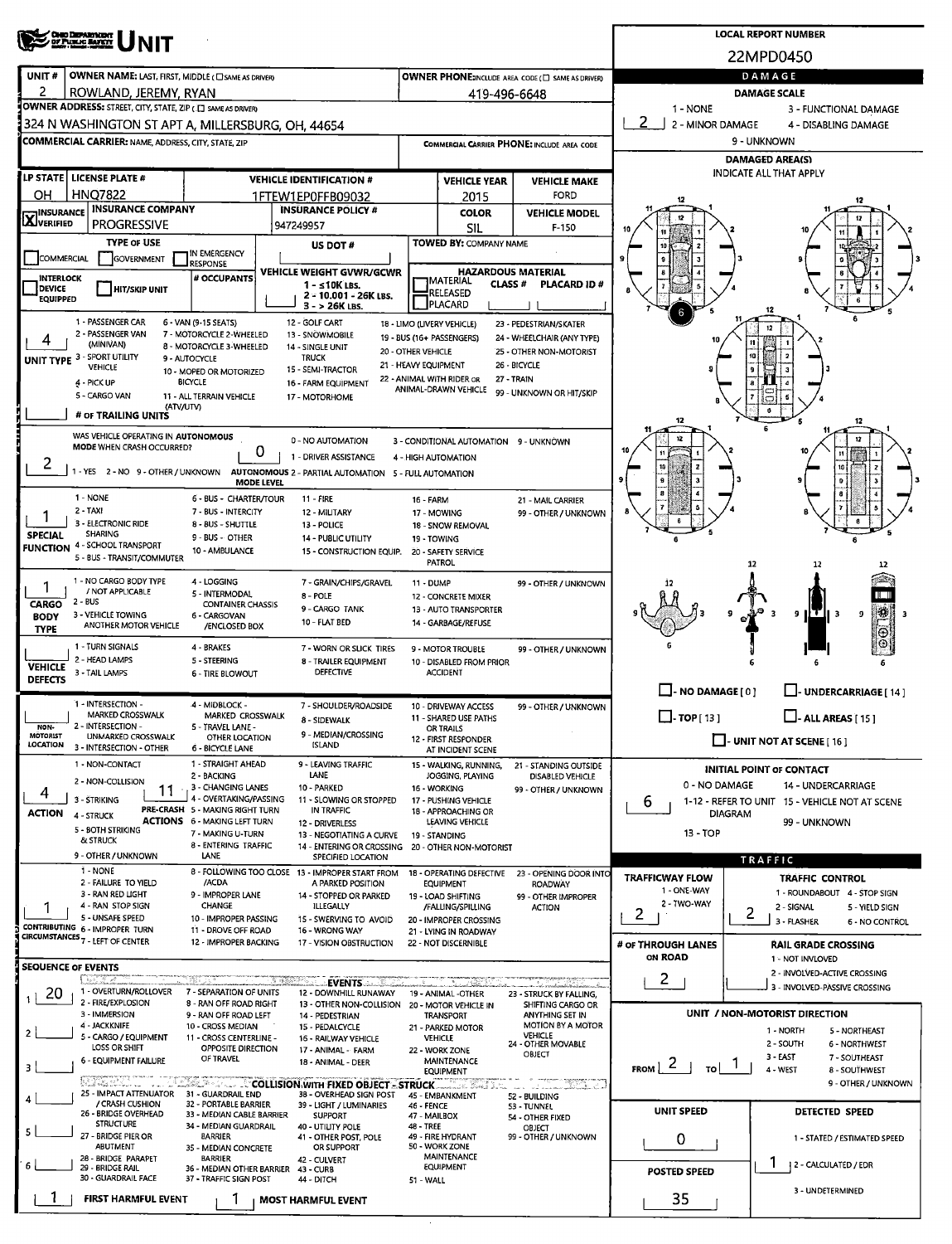|                                    | <b>CHIO DEPARTMENT</b><br>OF PUBLIC BANKET<br><b>NIT</b>                                     |                                                           | <b>LOCAL REPORT NUMBER</b>                                                                                  |                                             |                                                            |                                                   |                                                          |                                                              |  |  |  |  |
|------------------------------------|----------------------------------------------------------------------------------------------|-----------------------------------------------------------|-------------------------------------------------------------------------------------------------------------|---------------------------------------------|------------------------------------------------------------|---------------------------------------------------|----------------------------------------------------------|--------------------------------------------------------------|--|--|--|--|
|                                    |                                                                                              |                                                           |                                                                                                             |                                             | 22MPD0450                                                  |                                                   |                                                          |                                                              |  |  |  |  |
| UNIT#<br>2                         | <b>OWNER NAME: LAST, FIRST, MIDDLE ( CISAME AS DRIVER)</b>                                   |                                                           |                                                                                                             |                                             |                                                            | OWNER PHONE:INCLUDE AREA CODE (E) SAME AS DRIVERY |                                                          | DAMAGE                                                       |  |  |  |  |
|                                    | ROWLAND, JEREMY, RYAN<br><b>OWNER ADDRESS:</b> STREET, CITY, STATE, ZIP (II) SAME AS DRIVERY |                                                           |                                                                                                             |                                             | 419-496-6648                                               |                                                   | <b>DAMAGE SCALE</b><br>1 - NONE<br>3 - FUNCTIONAL DAMAGE |                                                              |  |  |  |  |
|                                    | 324 N WASHINGTON ST APT A, MILLERSBURG, OH, 44654                                            |                                                           |                                                                                                             |                                             |                                                            |                                                   | $\overline{2}$<br>2 - MINOR DAMAGE                       | 4 - DISABLING DAMAGE                                         |  |  |  |  |
|                                    | <b>COMMERCIAL CARRIER: NAME, ADDRESS, CITY, STATE, ZIP</b>                                   |                                                           |                                                                                                             | COMMERCIAL CARRIER PHONE: INCLUDE AREA CODE |                                                            |                                                   | 9 - UNKNOWN<br><b>DAMAGED AREA(S)</b>                    |                                                              |  |  |  |  |
|                                    | LP STATE   LICENSE PLATE #                                                                   |                                                           | <b>VEHICLE IDENTIFICATION #</b>                                                                             |                                             |                                                            |                                                   |                                                          | <b>INDICATE ALL THAT APPLY</b>                               |  |  |  |  |
| ОН                                 | <b>HNQ7822</b>                                                                               |                                                           | 1FTEW1EP0FFB09032                                                                                           |                                             | <b>VEHICLE YEAR</b><br>2015                                | <b>VEHICLE MAKE</b><br><b>FORD</b>                |                                                          |                                                              |  |  |  |  |
| <b>HINSURANCE</b>                  | <b>INSURANCE COMPANY</b>                                                                     |                                                           | <b>INSURANCE POLICY #</b>                                                                                   |                                             | <b>COLOR</b>                                               | <b>VEHICLE MODEL</b>                              |                                                          |                                                              |  |  |  |  |
| <b>LX</b> JVERIFIED                | <b>PROGRESSIVE</b>                                                                           |                                                           | 947249957                                                                                                   |                                             | <b>SIL</b>                                                 | F-150                                             |                                                          |                                                              |  |  |  |  |
| <b>COMMERCIAL</b>                  | <b>TYPE OF USE</b><br>GOVERNMENT                                                             | IN EMERGENCY                                              | US DOT#                                                                                                     |                                             | <b>TOWED BY: COMPANY NAME</b>                              |                                                   |                                                          |                                                              |  |  |  |  |
| <b>INTERLOCK</b>                   |                                                                                              | <b>RESPONSE</b><br># OCCUPANTS                            | VEHICLE WEIGHT GVWR/GCWR                                                                                    |                                             | <b>HAZARDOUS MATERIAL</b>                                  |                                                   |                                                          |                                                              |  |  |  |  |
| <b>DEVICE</b><br><b>EQUIPPED</b>   | <b>HIT/SKIP UNIT</b>                                                                         |                                                           | $1 - \leq 10K$ LBS.<br>2 - 10.001 - 26K LBS.<br>$3 > 26K$ LBS.                                              |                                             | <b>J</b> MATERIAL<br><b>CLASS #</b><br>RELEASED<br>PLACARD | <b>PLACARD ID#</b>                                |                                                          |                                                              |  |  |  |  |
|                                    | 1 - PASSENGER CAR                                                                            | 6 - VAN (9-15 SEATS)                                      | 12 - GOLF CART                                                                                              |                                             | 18 - LIMO (LIVERY VEHICLE)                                 | 23 - PEDESTRIAN/SKATER                            |                                                          |                                                              |  |  |  |  |
|                                    | 2 - PASSENGER VAN<br>(MINIVAN)                                                               | 7 - MOTORCYCLE 2-WHEELED<br>8 - MOTORCYCLE 3-WHEELED      | 13 - SNOWMOBILE<br>14 - SINGLE UNIT                                                                         |                                             | 19 - BUS (16+ PASSENGERS)                                  | 24 - WHEELCHAIR (ANY TYPE)                        |                                                          | n                                                            |  |  |  |  |
|                                    | UNIT TYPE 3 - SPORT UTILITY<br><b>VEHICLE</b>                                                | 9 - AUTOCYCLE                                             | <b>TRUCK</b>                                                                                                | 20 - OTHER VEHICLE<br>21 - HEAVY EQUIPMENT  |                                                            | 25 - OTHER NON-MOTORIST<br>26 - BICYCLE           |                                                          |                                                              |  |  |  |  |
|                                    | 4 - PICK UP                                                                                  | 10 - MOPED OR MOTORIZED<br><b>BICYCLE</b>                 | 15 - SEMI-TRACTOR<br>16 - FARM EQUIPMENT                                                                    |                                             | 22 - ANIMAL WITH RIDER OR                                  | 27 - TRAIN                                        |                                                          |                                                              |  |  |  |  |
|                                    | 5 - CARGO VAN<br>(ATV/UTV)                                                                   | 11 - ALL TERRAIN VEHICLE                                  | 17 - MOTORHOME                                                                                              |                                             | ANIMAL-DRAWN VEHICLE                                       | 99 - UNKNOWN OR HIT/SKIP                          |                                                          |                                                              |  |  |  |  |
|                                    | # OF TRAILING UNITS                                                                          |                                                           |                                                                                                             |                                             |                                                            |                                                   | 12                                                       | 12                                                           |  |  |  |  |
|                                    | WAS VEHICLE OPERATING IN AUTONOMOUS                                                          |                                                           | 0 - NO AUTOMATION                                                                                           |                                             | 3 - CONDITIONAL AUTOMATION 9 - UNKNOWN                     |                                                   |                                                          |                                                              |  |  |  |  |
| 2                                  | MODE WHEN CRASH OCCURRED?                                                                    |                                                           | 0<br>1 - DRIVER ASSISTANCE                                                                                  |                                             | 4 - HIGH AUTOMATION                                        |                                                   |                                                          |                                                              |  |  |  |  |
|                                    |                                                                                              |                                                           | - YES 2 - NO 9 - OTHER / UNKNOWN AUTONOMOUS 2 - PARTIAL AUTOMATION 5 - FULL AUTOMATION<br><b>MODE LEVEL</b> |                                             |                                                            |                                                   |                                                          | 10                                                           |  |  |  |  |
|                                    | 1 - NONE                                                                                     | 6 - BUS - CHARTER/TOUR                                    | 11 - FIRE                                                                                                   | 16 - FARM                                   |                                                            | 21 - MAIL CARRIER                                 |                                                          |                                                              |  |  |  |  |
|                                    | 2 - TAXI<br>3 - ELECTRONIC RIDE                                                              | 7 - BUS - INTERCITY<br>8 - BUS - SHUTTLE                  | 12 - MILITARY                                                                                               |                                             | 17 - MOWING                                                | 99 - OTHER / UNKNOWN                              |                                                          |                                                              |  |  |  |  |
| <b>SPECIAL</b>                     | <b>SHARING</b>                                                                               | 13 - POLICE<br>14 - PUBLIC UTILITY                        |                                                                                                             | 18 - SNOW REMOVAL<br>19 - TOWING            |                                                            |                                                   |                                                          |                                                              |  |  |  |  |
|                                    | <b>FUNCTION 4 - SCHOOL TRANSPORT</b><br>5 - BUS - TRANSIT/COMMUTER                           | 10 - AMBULANCE                                            | 15 - CONSTRUCTION EQUIP.                                                                                    |                                             | 20 - SAFETY SERVICE<br><b>PATROL</b>                       |                                                   |                                                          | 12<br>12                                                     |  |  |  |  |
| 1                                  | 1 - NO CARGO BODY TYPE                                                                       | 4 - LOGGING                                               | 7 - GRAIN/CHIPS/GRAVEL                                                                                      | 11 - DUMP                                   |                                                            | 99 - OTHER / UNKNOWN                              |                                                          |                                                              |  |  |  |  |
| CARGO                              | / NOT APPLICABLE<br>$2 - BJS$                                                                | 5 - INTERMODAL<br><b>CONTAINER CHASSIS</b>                | 8 - POLE<br>9 - CARGO TANK                                                                                  |                                             | 12 - CONCRETE MIXER<br>13 - AUTO TRANSPORTER               |                                                   |                                                          |                                                              |  |  |  |  |
| <b>BODY</b><br><b>TYPE</b>         | 3 - VEHICLE TOWING<br>ANOTHER MOTOR VEHICLE                                                  | 6 - CARGOVAN<br>/ENCLOSED BOX                             | 10 - FLAT BED                                                                                               |                                             | 14 - GARBAGE/REFUSE                                        |                                                   |                                                          | 38<br>9 ILT<br>9<br>  3                                      |  |  |  |  |
|                                    | 1 - TURN SIGNALS                                                                             | 4 - BRAKES                                                | 7 - WORN OR SLICK TIRES                                                                                     |                                             | 9 - MOTOR TROUBLE                                          | 99 - OTHER / UNKNOWN                              |                                                          |                                                              |  |  |  |  |
| <b>VEHICLE</b>                     | 2 - HEAD LAMPS                                                                               | 5 - STEERING                                              | 8 - TRAILER EQUIPMENT                                                                                       |                                             | 10 - DISABLED FROM PRIOR                                   |                                                   |                                                          |                                                              |  |  |  |  |
| <b>DEFECTS</b>                     | 3 - TAIL LAMPS                                                                               | <b>6 - TIRE BLOWOUT</b>                                   | DEFECTIVE                                                                                                   |                                             | <b>ACCIDENT</b>                                            |                                                   | $\Box$ - NO DAMAGE [0]                                   |                                                              |  |  |  |  |
|                                    | 1 - INTERSECTION -                                                                           | 4 - MIDBLOCK -                                            | 7 - SHOULDER/ROADSIDE                                                                                       |                                             | 10 - DRIVEWAY ACCESS                                       | 99 - OTHER / UNKNOWN                              |                                                          | $\Box$ - UNDERCARRIAGE [ 14 ]                                |  |  |  |  |
| NON-                               | <b>MARKED CROSSWALK</b><br>2 - INTERSECTION -                                                | MARKED CROSSWALK<br>5 - TRAVEL LANE -                     | 8 - SIDEWALK                                                                                                |                                             | 11 - SHARED USE PATHS<br>OR TRAILS                         |                                                   | $\Box$ -TOP[13]                                          | $\Box$ - ALL AREAS [ 15 ]                                    |  |  |  |  |
| <b>MOTORIST</b><br><b>LOCATION</b> | UNMARKED CROSSWALK<br>3 - INTERSECTION - OTHER                                               | OTHER LOCATION<br>6 - BICYCLE LANE                        | 9 - MEDIAN/CROSSING<br><b>ISLAND</b>                                                                        |                                             | 12 - FIRST RESPONDER.<br>AT INCIDENT SCENE                 |                                                   |                                                          | $\Box$ - UNIT NOT AT SCENE [16]                              |  |  |  |  |
|                                    | 1 - NON-CONTACT                                                                              | 1 - STRAIGHT AHEAD                                        | 9 - LEAVING TRAFFIC                                                                                         |                                             | 15 - WALKING, RUNNING,                                     | 21 - STANDING OUTSIDE                             |                                                          | INITIAL POINT OF CONTACT                                     |  |  |  |  |
|                                    | 2 - NON-COLLISION                                                                            | 2 - BACKING<br>3 - CHANGING LANES                         | LANE<br>10 - PARKED                                                                                         |                                             | JOGGING, PLAYING<br>16 - WORKING                           | <b>DISABLED VEHICLE</b><br>99 - OTHER / UNKNOWN   | 0 - NO DAMAGE                                            | <b>14 - UNDERCARRIAGE</b>                                    |  |  |  |  |
| 4                                  | 3 - STRIKING                                                                                 | 4 - OVERTAKING/PASSING<br>PRE-CRASH 5 - MAKING RIGHT TURN | 11 - SLOWING OR STOPPED<br>IN TRAFFIC                                                                       |                                             | 17 - PUSHING VEHICLE                                       |                                                   | ь                                                        | 1-12 - REFER TO UNIT 15 - VEHICLE NOT AT SCENE               |  |  |  |  |
| <b>ACTION</b>                      | 4 - STRUCK<br>5 - BOTH STRIKING                                                              | <b>ACTIONS 6 - MAKING LEFT TURN</b>                       | 12 - DRIVERLESS                                                                                             |                                             | 18 - APPROACHING OR<br>LEAVING VEHICLE                     |                                                   | <b>DIAGRAM</b>                                           | 99 - UNKNOWN                                                 |  |  |  |  |
|                                    | & STRUCK                                                                                     | 7 - MAKING U-TURN<br>8 - ENTERING TRAFFIC                 | 13 - NEGOTIATING A CURVE<br>14 - ENTERING OR CROSSING 20 - OTHER NON-MOTORIST                               |                                             | 19 - STANDING                                              |                                                   | 13 - TOP                                                 |                                                              |  |  |  |  |
|                                    | 9 - OTHER / UNKNOWN<br>1 - NONE                                                              | LANE                                                      | SPECIFIED LOCATION                                                                                          |                                             |                                                            |                                                   |                                                          | TRAFFIC                                                      |  |  |  |  |
|                                    | 2 - FAILURE TO YIELD                                                                         | /ACDA                                                     | 8 - FOLLOWING TOO CLOSE 13 - IMPROPER START FROM<br>A PARKED POSITION                                       |                                             | 18 - OPERATING DEFECTIVE<br><b>EQUIPMENT</b>               | 23 - OPENING DOOR INTO<br><b>ROADWAY</b>          | <b>TRAFFICWAY FLOW</b><br>1 - ONE-WAY                    | <b>TRAFFIC CONTROL</b>                                       |  |  |  |  |
|                                    | 3 - RAN RED LIGHT<br>4 - RAN STOP SIGN                                                       | 9 - IMPROPER LANE<br>CHANGE                               | 14 - STOPPED OR PARKED<br>ILLEGALLY                                                                         |                                             | 19 - LOAD SHIFTING<br>/FALLING/SPILLING                    | 99 - OTHER IMPROPER<br><b>ACTION</b>              | 2 - TWO-WAY                                              | 1 - ROUNDABOUT 4 - STOP SIGN<br>2 - SIGNAL<br>5 - YIELD SIGN |  |  |  |  |
|                                    | 5 - UNSAFE SPEED<br>CONTRIBUTING 6 - IMPROPER TURN                                           | 10 - IMPROPER PASSING                                     | 15 - SWERVING TO AVOID                                                                                      |                                             | 20 - IMPROPER CROSSING                                     |                                                   | 2                                                        | 2<br>3 - FLASHER<br>6 - NO CONTROL                           |  |  |  |  |
|                                    | CIRCUMSTANCES 7 - LEFT OF CENTER                                                             | 11 - DROVE OFF ROAD<br>12 - IMPROPER BACKING              | 16 - WRONG WAY<br>17 - VISION OBSTRUCTION                                                                   |                                             | 21 - LYING IN ROADWAY<br>22 - NOT DISCERNIBLE              |                                                   | # OF THROUGH LANES                                       | <b>RAIL GRADE CROSSING</b>                                   |  |  |  |  |
| <b>SEQUENCE OF EVENTS</b>          |                                                                                              |                                                           |                                                                                                             |                                             |                                                            |                                                   | ON ROAD                                                  | 1 - NOT INVLOVED<br>2 - INVOLVED-ACTIVE CROSSING             |  |  |  |  |
| 20                                 | usia<br>1 - OVERTURN/ROLLOVER                                                                | 7 - SEPARATION OF UNITS                                   | <b>EVENTS</b><br>12 - DOWNHILL RUNAWAY                                                                      |                                             | فكالأناسب بالمأ<br>19 - ANIMAL -OTHER                      | 23 - STRUCK BY FALLING,                           | 2                                                        | 3 - INVOLVED-PASSIVE CROSSING                                |  |  |  |  |
|                                    | 2 - FIRE/EXPLOSION<br>3 - IMMERSION                                                          | 8 - RAN OFF ROAD RIGHT<br>9 - RAN OFF ROAD LEFT           | 13 - OTHER NON-COLLISION 20 - MOTOR VEHICLE IN<br>14 - PEDESTRIAN                                           |                                             | <b>TRANSPORT</b>                                           | SHIFTING CARGO OR<br>ANYTHING SET IN              |                                                          | UNIT / NON-MOTORIST DIRECTION                                |  |  |  |  |
| $\overline{2}$                     | 4 - JACKKNIFE                                                                                | 10 - CROSS MEDIAN                                         | 15 - PEDALCYCLE                                                                                             |                                             | 21 - PARKED MOTOR                                          | <b>MOTION BY A MOTOR</b><br><b>VEHICLE</b>        |                                                          | 1 - NORTH<br>5 - NORTHEAST                                   |  |  |  |  |
|                                    | 5 - CARGO / EQUIPMENT<br>LOSS OR SHIFT                                                       | 11 - CROSS CENTERLINE -<br>OPPOSITE DIRECTION             | 16 - RAILWAY VEHICLE<br>17 - ANIMAL - FARM                                                                  |                                             | <b>VEHICLE</b><br>22 - WORK ZONE                           | 24 - OTHER MOVABLE<br>OBJECT                      |                                                          | 2 - SOUTH<br><b>6 - NORTHWEST</b>                            |  |  |  |  |
| з                                  | <b>6 - EQUIPMENT FAILURE</b>                                                                 | OF TRAVEL                                                 | 18 - ANIMAL - DEER                                                                                          |                                             | MAINTENANCE<br><b>EQUIPMENT</b>                            |                                                   | $F_{ROM}$   2  <br>τoΙ                                   | 3 - EAST<br>7 - SOUTHEAST<br>4 - WEST<br>8 - SOUTHWEST       |  |  |  |  |
|                                    | 25 - IMPACT ATTENUATOR 31 - GUARDRAIL END                                                    |                                                           | <b>A MERICAN COLLISION WITH FIXED OBJECT ASTRUCK.</b>                                                       |                                             |                                                            | $X = 2$ and $X = 2$                               |                                                          | 9 - OTHER / UNKNOWN                                          |  |  |  |  |
|                                    | / CRASH CUSHION                                                                              | 32 - PORTABLE BARRIER                                     | 38 - OVERHEAD SIGN POST<br>39 - LIGHT / LUMINARIES                                                          | 46 - FENCE                                  | 45 EMBANKMENT                                              | 52 - BUILDING<br>53 - TUNNEL                      | UNIT SPEED                                               | <b>DETECTED SPEED</b>                                        |  |  |  |  |
|                                    | 26 - BRIDGE OVERHEAD<br><b>STRUCTURE</b>                                                     | 33 - MEDIAN CABLE BARRIER<br>34 - MEDIAN GUARDRAIL        | <b>SUPPORT</b><br>40 - UTILITY POLE                                                                         | 47 - MAILBOX<br>48 - TREE                   |                                                            | 54 - OTHER FIXED<br>OBJECT                        |                                                          |                                                              |  |  |  |  |
|                                    | 27 - BRIDGE PIER OR<br><b>ABUTMENT</b>                                                       | <b>BARRIER</b><br>35 - MEDIAN CONCRETE                    | 41 - OTHER POST, POLE<br>OR SUPPORT                                                                         |                                             | 49 - FIRE HYDRANT<br>50 - WORK ZONE                        | 99 - OTHER / UNKNOWN                              | 0                                                        | 1 - STATED / ESTIMATED SPEED                                 |  |  |  |  |
|                                    | 28 - BRIDGE PARAPET<br>29 - BRIDGE RAIL                                                      | <b>BARRIER</b><br>36 - MEDIAN OTHER BARRIER               | 42 - CULVERT<br><b>43 - CURB</b>                                                                            |                                             | MAINTENANCE<br>EQUIPMENT                                   |                                                   | <b>POSTED SPEED</b>                                      | T.<br>  2 - CALCULATED / EDR                                 |  |  |  |  |
|                                    | 30 - GUARDRAIL FACE                                                                          | 37 - TRAFFIC SIGN POST                                    | 44 - DITCH                                                                                                  | 51 - WALL                                   |                                                            |                                                   |                                                          | 3 - UNDETERMINED                                             |  |  |  |  |
|                                    | FIRST HARMFUL EVENT                                                                          |                                                           | <b>MOST HARMFUL EVENT</b>                                                                                   |                                             |                                                            |                                                   | 35                                                       |                                                              |  |  |  |  |
|                                    |                                                                                              |                                                           |                                                                                                             |                                             |                                                            |                                                   |                                                          |                                                              |  |  |  |  |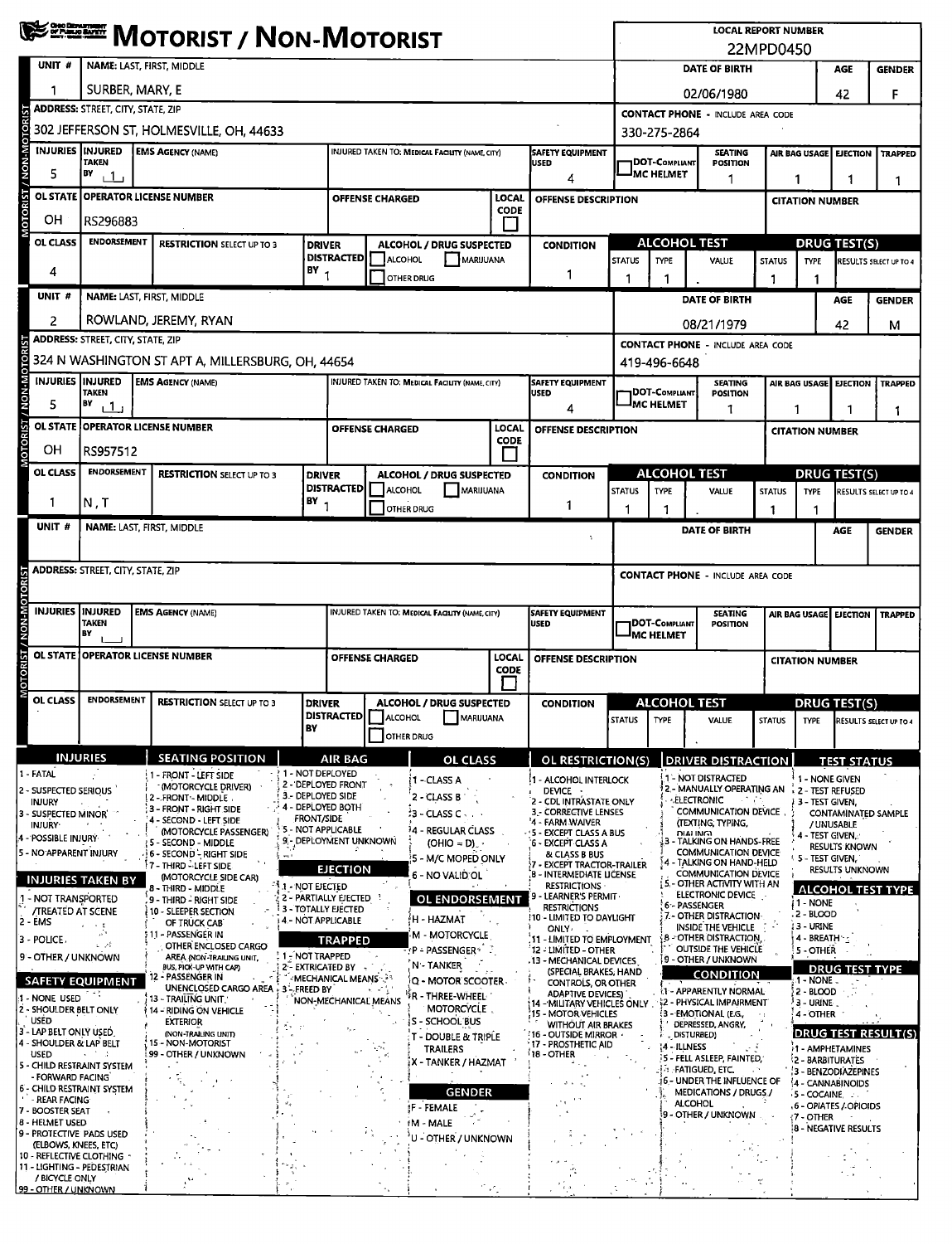|                                                      | <b>WEERE MOTORIST / NON-MOTORIST</b>               |                                                                       |                                                     |                                                                       |                             |                                                                                           |                             |                                                                           |                                          |                                           | <b>LOCAL REPORT NUMBER</b><br>22MPD0450                                              |                     |                                                    |                        |                                    |  |  |
|------------------------------------------------------|----------------------------------------------------|-----------------------------------------------------------------------|-----------------------------------------------------|-----------------------------------------------------------------------|-----------------------------|-------------------------------------------------------------------------------------------|-----------------------------|---------------------------------------------------------------------------|------------------------------------------|-------------------------------------------|--------------------------------------------------------------------------------------|---------------------|----------------------------------------------------|------------------------|------------------------------------|--|--|
| UNIT#                                                | NAME: LAST, FIRST, MIDDLE                          |                                                                       |                                                     |                                                                       |                             |                                                                                           |                             |                                                                           |                                          |                                           | <b>DATE OF BIRTH</b><br><b>AGE</b><br><b>GENDER</b>                                  |                     |                                                    |                        |                                    |  |  |
|                                                      | SURBER, MARY, E                                    |                                                                       |                                                     |                                                                       |                             |                                                                                           |                             |                                                                           |                                          |                                           | 02/06/1980                                                                           |                     | 42                                                 | F                      |                                    |  |  |
|                                                      | <b>ADDRESS: STREET, CITY, STATE, ZIP</b>           |                                                                       |                                                     |                                                                       |                             |                                                                                           |                             |                                                                           | <b>CONTACT PHONE - INCLUDE AREA CODE</b> |                                           |                                                                                      |                     |                                                    |                        |                                    |  |  |
| MOTORIST / NON-MOTO                                  |                                                    | 302 JEFFERSON ST, HOLMESVILLE, OH, 44633                              |                                                     |                                                                       |                             |                                                                                           |                             |                                                                           | 330-275-2864                             |                                           |                                                                                      |                     |                                                    |                        |                                    |  |  |
| INJURIES INJURED                                     | <b>TAKEN</b>                                       | <b>EMS AGENCY (NAME)</b>                                              |                                                     |                                                                       |                             | INJURED TAKEN TO: MEDICAL FACILITY (NAME, CITY)<br><b>SAFETY EQUIPMENT</b><br><b>USED</b> |                             |                                                                           |                                          | DOT-COMPLIANT                             | <b>SEATING</b><br><b>POSITION</b>                                                    |                     | AIR BAG USAGE<br><b>EJECTION</b><br><b>TRAPPED</b> |                        |                                    |  |  |
| 5                                                    | BY<br>$+1$                                         | 4                                                                     |                                                     | <b>IMC HELMET</b>                                                     | 1                           |                                                                                           | 1                           | -1<br>1                                                                   |                                          |                                           |                                                                                      |                     |                                                    |                        |                                    |  |  |
|                                                      |                                                    | OL STATE OPERATOR LICENSE NUMBER                                      |                                                     |                                                                       | <b>OFFENSE CHARGED</b>      |                                                                                           | <b>LOCAL</b><br><b>CODE</b> | OFFENSE DESCRIPTION                                                       |                                          |                                           |                                                                                      |                     | <b>CITATION NUMBER</b>                             |                        |                                    |  |  |
| OН<br>OL CLASS                                       | RS296883<br><b>ENDORSEMENT</b>                     |                                                                       |                                                     |                                                                       |                             |                                                                                           |                             |                                                                           | <b>ALCOHOL TEST</b>                      |                                           |                                                                                      |                     | <b>DRUG TEST(S)</b>                                |                        |                                    |  |  |
|                                                      | <b>RESTRICTION SELECT UP TO 3</b><br><b>DRIVER</b> |                                                                       |                                                     | <b>DISTRACTED</b>                                                     | ALCOHOL                     | <b>ALCOHOL / DRUG SUSPECTED</b><br>MARIJUANA                                              |                             | <b>CONDITION</b>                                                          | <b>STATUS</b>                            | <b>TYPE</b>                               | VALUE                                                                                | <b>STATUS</b>       | <b>TYPE</b>                                        |                        | RESULTS SELECT UP TO 4             |  |  |
| 4                                                    | BY                                                 |                                                                       |                                                     |                                                                       | <b>OTHER DRUG</b>           |                                                                                           |                             | -1                                                                        | 1                                        | 1                                         |                                                                                      | 1                   |                                                    |                        |                                    |  |  |
| UNIT <sub>#</sub>                                    | NAME: LAST, FIRST, MIDDLE                          |                                                                       |                                                     |                                                                       |                             |                                                                                           |                             |                                                                           |                                          |                                           | DATE OF BIRTH                                                                        |                     |                                                    | AGE                    | <b>GENDER</b>                      |  |  |
| 2                                                    |                                                    | ROWLAND, JEREMY, RYAN                                                 |                                                     |                                                                       |                             |                                                                                           |                             |                                                                           |                                          |                                           | 08/21/1979                                                                           |                     |                                                    | 42                     | м                                  |  |  |
|                                                      | <b>ADDRESS: STREET, CITY, STATE, ZIP</b>           | 324 N WASHINGTON ST APT A, MILLERSBURG, OH, 44654                     |                                                     |                                                                       |                             |                                                                                           |                             |                                                                           |                                          | 419-496-6648                              | <b>CONTACT PHONE - INCLUDE AREA CODE</b>                                             |                     |                                                    |                        |                                    |  |  |
| <b>INJURIES IINJURED</b>                             |                                                    | <b>EMS AGENCY (NAME)</b>                                              |                                                     |                                                                       |                             | <b>INJURED TAKEN TO: MEDICAL FACILITY (NAME, CITY)</b>                                    |                             | <b>SAFETY EQUIPMENT</b>                                                   |                                          |                                           | <b>SEATING</b>                                                                       |                     | AIR BAG USAGE EJECTION                             |                        | <b>TRAPPED</b>                     |  |  |
| <b>NON-M</b><br>5                                    | <b>TAKEN</b><br>BY<br><u>ت 1 ن</u>                 |                                                                       |                                                     |                                                                       |                             |                                                                                           |                             | <b>USED</b><br>4                                                          |                                          | <b>DOT-COMPLIANT</b><br><b>IMC HELMET</b> | <b>POSITION</b><br>1                                                                 |                     |                                                    |                        |                                    |  |  |
|                                                      |                                                    | OL STATE OPERATOR LICENSE NUMBER                                      |                                                     |                                                                       | <b>OFFENSE CHARGED</b>      |                                                                                           | LOCAL                       | OFFENSE DESCRIPTION                                                       |                                          |                                           |                                                                                      |                     | 1<br>1<br>1<br><b>CITATION NUMBER</b>              |                        |                                    |  |  |
| <b>OTORIST</b><br>OН                                 | RS957512                                           |                                                                       |                                                     |                                                                       |                             |                                                                                           | <b>CODE</b>                 |                                                                           |                                          |                                           |                                                                                      |                     |                                                    |                        |                                    |  |  |
| OL CLASS                                             | <b>ENDORSEMENT</b>                                 | <b>RESTRICTION SELECT UP TO 3</b>                                     | <b>DRIVER</b>                                       |                                                                       |                             | <b>ALCOHOL / DRUG SUSPECTED</b>                                                           |                             | <b>CONDITION</b>                                                          |                                          | <b>ALCOHOL TEST</b>                       |                                                                                      | <b>DRUG TEST(S)</b> |                                                    |                        |                                    |  |  |
| -1                                                   | N,T                                                |                                                                       | $18Y$ <sub>1</sub>                                  | <b>DISTRACTED</b>                                                     | ALCOHOL                     | MARIJUANA                                                                                 |                             | 1                                                                         | <b>STATUS</b>                            | <b>TYPE</b>                               | VALUE                                                                                | <b>STATUS</b>       | <b>TYPE</b>                                        |                        | RESULTS SELECT UP TO 4             |  |  |
| UNIT <sub>#</sub>                                    | NAME: LAST, FIRST, MIDDLE                          |                                                                       |                                                     |                                                                       |                             | OTHER DRUG                                                                                |                             |                                                                           | 1                                        | -1                                        | DATE OF BIRTH                                                                        | 1                   |                                                    | AGE                    | <b>GENDER</b>                      |  |  |
|                                                      |                                                    |                                                                       |                                                     |                                                                       |                             |                                                                                           |                             | ñ.                                                                        |                                          |                                           |                                                                                      |                     |                                                    |                        |                                    |  |  |
|                                                      | <b>ADDRESS: STREET, CITY, STATE, ZIP</b>           |                                                                       |                                                     |                                                                       |                             |                                                                                           |                             | <b>CONTACT PHONE - INCLUDE AREA CODE</b>                                  |                                          |                                           |                                                                                      |                     |                                                    |                        |                                    |  |  |
|                                                      |                                                    |                                                                       |                                                     |                                                                       |                             |                                                                                           |                             |                                                                           |                                          |                                           |                                                                                      |                     |                                                    |                        |                                    |  |  |
| <b>INJURIES INJURED</b>                              | <b>TAKEN</b>                                       | <b>EMS AGENCY (NAME)</b>                                              |                                                     |                                                                       |                             | INJURED TAKEN TO: MEDICAL FACILITY (NAME, CITY)                                           |                             | SAFETY EQUIPMENT<br><b>USED</b>                                           |                                          | <b>DOT-Compliant</b>                      | <b>SEATING</b><br><b>POSITION</b>                                                    |                     | AIR BAG USAGE                                      | <b>EJECTION</b>        | <b>TRAPPED</b>                     |  |  |
|                                                      | BY                                                 |                                                                       |                                                     |                                                                       |                             |                                                                                           |                             | <sup>I</sup> MC HELMET                                                    |                                          |                                           |                                                                                      |                     |                                                    |                        |                                    |  |  |
|                                                      |                                                    | OL STATE   OPERATOR LICENSE NUMBER                                    |                                                     | LOCAL<br><b>OFFENSE CHARGED</b><br><b>OFFENSE DESCRIPTION</b><br>CODE |                             |                                                                                           |                             |                                                                           |                                          |                                           |                                                                                      |                     | <b>CITATION NUMBER</b>                             |                        |                                    |  |  |
| OL CLASS                                             | <b>ENDORSEMENT</b>                                 | <b>RESTRICTION SELECT UP TO 3</b>                                     | <b>DRIVER</b>                                       | ALCOHOL / DRUG SUSPECTED                                              |                             |                                                                                           |                             | <b>ALCOHOL TEST</b><br><b>CONDITION</b>                                   |                                          |                                           |                                                                                      | <b>DRUG TEST(S)</b> |                                                    |                        |                                    |  |  |
|                                                      |                                                    |                                                                       | BY                                                  |                                                                       | <b>DISTRACTED   ALCOHOL</b> | MARIJUANA                                                                                 |                             |                                                                           |                                          |                                           | STATUS TYPE VALUE                                                                    |                     |                                                    |                        | STATUS TYPE RESULTS SELECT UP TO 4 |  |  |
|                                                      |                                                    |                                                                       |                                                     |                                                                       | OTHER DRUG                  |                                                                                           |                             |                                                                           |                                          |                                           |                                                                                      |                     |                                                    |                        |                                    |  |  |
| 1 - FATAL                                            | <b>INJURIES</b>                                    | <b>SEATING POSITION</b><br>1 - FRONT - LEFT SIDE                      | $\cdot$ ? 1 - Not deployed                          | <b>AIR BAG</b>                                                        |                             | <b>OL CLASS</b>                                                                           |                             | OL RESTRICTION(S)                                                         |                                          |                                           | <b>DRIVER DISTRACTION</b><br>1 - NOT DISTRACTED                                      |                     | 1 - NONE GIVEN                                     | <b>TEST STATUS</b>     |                                    |  |  |
| 2 - SUSPECTED SERIOUS<br><b>INJURY</b>               |                                                    | (MOTORCYCLE DRIVER)<br>2 - FRONT - MIDDLE                             | 2 - DEPLOYED FRONT<br>3 - DEPLOYED SIDE             |                                                                       |                             | i1 - CLASS A<br>2 - CLASS B                                                               |                             | 1 - ALCOHOL INTERLOCK<br>DEVICE ><br>2 - CDL INTRASTATE ONLY              |                                          |                                           | 2 - MANUALLY OPERATING AN 42 - TEST REFUSED<br><b>ELECTRONIC</b><br>et at            |                     | 3 - TEST GIVEN.                                    |                        |                                    |  |  |
| 3 - SUSPECTED MINOR<br><b>INJURY</b>                 |                                                    | 3 - FRONT - RIGHT SIDE<br>- SECOND - LEFT SIDE                        | $+$ 4 - DEPLOYED BOTH<br><b>FRONT/SIDE</b>          |                                                                       |                             | ំ3 - CLASS C េ                                                                            |                             | <b>3 - CORRECTIVE LENSES</b><br>'4 - FARM WAIVER                          |                                          |                                           | <b>COMMUNICATION DEVICE</b><br>(TEXTING, TYPING,                                     |                     |                                                    | / UNUSABLE             | CONTAMINATED SAMPLE                |  |  |
| 4 - POSSIBLE INJURY                                  |                                                    | (MOTORCYCLE PASSENGER)<br>5 - SECOND - MIDDLE                         | 5 - NOT APPLICABLE<br>9. - DEPLOYMENT UNKNOWN       |                                                                       |                             | <sup>3</sup> 4 - REGULAR CLASS<br>$(OHIO = D)$                                            |                             | <b>5 - EXCEPT CLASS A BUS</b><br>6 - EXCEPT CLASS A                       |                                          |                                           | <b>DIALING</b><br>3 - TALKING ON HANDS-FREE<br>COMMUNICATION DEVICE                  |                     | 4 - TEST GIVEN.                                    | <b>RESULTS KNOWN</b>   |                                    |  |  |
| 5 - NO APPARENT INJURY                               |                                                    | - 6 - SECOND - RIGHT SIDE<br>7 - THIRD - LEFT SIDE                    | ÷                                                   | <b>EJECTION</b>                                                       |                             | 5 - M/C MOPED ONLY<br>6 - NO VALID OL                                                     |                             | & CLASS B BUS<br>7 - EXCEPT TRACTOR-TRAILER<br>8 - INTERMEDIATE LIČENSE   |                                          | 4                                         | - TALKING ON HAND-HELD<br>COMMUNICATION DEVICE                                       |                     | 5 - TEST GIVEN.                                    | <b>RESULTS UNKNOWN</b> |                                    |  |  |
| 1 - NOT TRANSPORTED                                  | <b>INJURIES TAKEN BY</b>                           | (MOTORCYCLE SIDE CAR)<br>8 - THIRD - MIDDLE<br>9 - THIRD - RIGHT SIDE | <b>1.1 - NOT EIECTED</b><br>2 - PARTIALLY EJECTED 3 |                                                                       |                             | OL ENDORSEMENT                                                                            |                             | <b>RESTRICTIONS</b><br>9 - LEARNER'S PERMIT-                              |                                          |                                           | <b>S-OTHER ACTIVITY WITH AN</b><br>ELECTRONIC DEVICE                                 |                     |                                                    |                        | <b>ALCOHOL TEST TYPE</b>           |  |  |
| <b>/TREATED AT SCENE</b><br>2 - EMS                  |                                                    | 10 - SLEEPER SECTION<br>OF TRUCK CAB                                  | 3 - TOTALLY EJECTED<br><b>4.- NOT APPLICABLE</b>    |                                                                       |                             | H - HAZMAT                                                                                |                             | <b>RESTRICTIONS</b><br>I10 - LIMITED TO DAYLIGHT                          |                                          |                                           | 6 - PASSENGER<br>7.- OTHER DISTRACTION-                                              |                     | 1 - NONE<br>2 - BLOOD                              |                        |                                    |  |  |
| 3 - POLICE.                                          | $\sim$ 1<br>s. A                                   | ) 11 – PASSENGER IN<br>OTHER ENCLOSED CARGO                           |                                                     | <b>TRAPPED</b>                                                        |                             | M MOTORCYCLE                                                                              |                             | <b>ONLY</b><br>11 - LIMITED TO EMPLOYMENT                                 |                                          |                                           | INSIDE THE VEHICLE<br><b>B-OTHER DISTRACTION</b><br><b>OUTSIDE THE VEHICLE</b>       |                     | <b>13 - URINE</b><br>4 - BREATH - -                |                        |                                    |  |  |
| 9 - OTHER / UNKNOWN                                  |                                                    | AREA (NON-TRAILING UNIT.<br>BUS, PICK-UP WITH CAP)                    | 1 - NOT TRAPPED<br>2 - EXTRICATED BY                |                                                                       |                             | rP ÷ PASSENGER ® - ∂<br>N - TANKER                                                        |                             | 12 - LIMITED - OTHER<br>.13 - MECHANICAL DEVICES<br>(SPECIAL BRAKES, HAND |                                          |                                           | 9 - OTHER / UNKNOWN                                                                  |                     | 5 - OTHER                                          | <b>DRUG TEST TYPE</b>  |                                    |  |  |
|                                                      | <b>SAFETY EQUIPMENT</b>                            | 12 - PASSENGER IN<br>UNENCLOSED CARGO AREA                            | <b>MECHANICAL MEANS</b><br>3-FREED BY               |                                                                       |                             | Q - MOTOR SCOOTER<br>R - THREE-WHEEL                                                      |                             | CONTROLS, OR OTHER<br><b>ADAPTIVE DEVICES)</b>                            |                                          |                                           | <b>CONDITION</b><br>1 - APPARENTLY NORMAL                                            |                     | $1 - \text{NONE}$ .<br>2 - BLOOD                   |                        |                                    |  |  |
| - NONE USED<br>2 - SHOULDER BELT ONLY<br><b>USED</b> |                                                    | 13 - TRAILING UNIT<br>14 - RIDING ON VEHICLE                          |                                                     | NON-MECHANICAL MEANS                                                  |                             | <b>MOTORCYCLE</b>                                                                         |                             | 14 - MILITARY VEHICLES ONLY<br>15 - MOTOR VEHICLES                        |                                          |                                           | <b>\$2 - PHYSICAL IMPAIRMENT</b><br>3 - EMOTIONAL (E.G.                              |                     | <sup>3</sup> 3 – Urïne .<br>4 - OTHER              |                        |                                    |  |  |
| 3 - LAP BELT ONLY USED.<br>4 - SHOULDER & LAP BELT   |                                                    | <b>EXTERIOR</b><br>(NON-TRAILING UNIT)<br>15 - NON-MOTORIST           |                                                     |                                                                       |                             | <b>S - SCHOOL BUS</b><br><b>T - DOUBLE &amp; TRIPLE</b>                                   |                             | <b>WITHOUT AIR BRAKES</b><br>16 - OUTSIDE MIRROR ·<br>17 - PROSTHETIC AID |                                          |                                           | DEPRESSED, ANGRY,<br>DISTURBED)                                                      |                     |                                                    |                        | DRUG TEST RESULT(S)                |  |  |
| <b>USED</b><br>5 - CHILD RESTRAINT SYSTEM            | 14 T 2                                             | 99 - OTHER / UNKNOWN                                                  |                                                     |                                                                       |                             | TRAILERS<br>X - TANKER / HAZMAT                                                           |                             | 18 - OTHER                                                                |                                          | (4 - ILLNESS                              | ) 5 - FELL ASLEEP, FAINTED,                                                          |                     | 1 - AMPHETAMINES<br>2 - BARBITURATES               |                        |                                    |  |  |
| - FORWARD FACING<br>6 - CHILD RESTRAINT SYSTEM       |                                                    |                                                                       |                                                     |                                                                       |                             | <b>GENDER</b>                                                                             |                             |                                                                           |                                          |                                           | <b><i>A</i></b> Fatigued etc.<br>6 - UNDER THE INFLUENCE OF<br>MEDICATIONS / DRUGS / |                     | 3 - BENZODIAZEPINES<br>4 - CANNABINOIDS            |                        |                                    |  |  |
| - REAR FACING<br>7 - BOOSTER SEAT                    |                                                    |                                                                       |                                                     |                                                                       |                             | F - FEMALE                                                                                |                             |                                                                           |                                          |                                           | <b>ALCOHOL</b><br>9 - OTHER / UNKNOWN                                                |                     | $5 - COCAINE$<br>6 - OPIATES / OPIOIDS             |                        |                                    |  |  |
| 8 - HELMET USED<br>9 - Protective Pads used          |                                                    |                                                                       |                                                     |                                                                       |                             | fM - MALE<br>U - OTHER / UNKNOWN                                                          |                             |                                                                           |                                          |                                           |                                                                                      |                     | (7 - OTHER<br><b>8 - NEGATIVE RESULTS</b>          |                        |                                    |  |  |
| (ELBOWS, KNEES, ETC)<br>10 - REFLECTIVE CLOTHING     |                                                    |                                                                       |                                                     |                                                                       |                             |                                                                                           |                             |                                                                           |                                          |                                           |                                                                                      |                     |                                                    |                        |                                    |  |  |
| 11 - LIGHTING - PEDESTRIAN<br>/ BICYCLE ONLY         |                                                    |                                                                       |                                                     |                                                                       |                             |                                                                                           |                             |                                                                           |                                          |                                           |                                                                                      |                     |                                                    |                        |                                    |  |  |
| 99 - OTHER / UNKNOWN                                 |                                                    |                                                                       |                                                     |                                                                       |                             |                                                                                           | ٠f.                         |                                                                           |                                          |                                           |                                                                                      |                     |                                                    |                        |                                    |  |  |